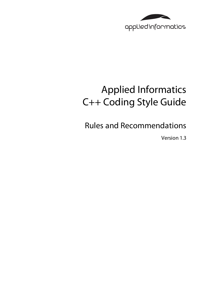

# Applied Informatics C++ Coding Style Guide

Rules and Recommendations

Version 1.3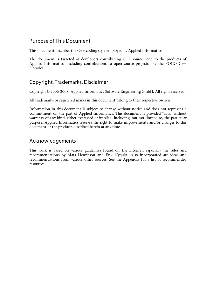### Purpose of This Document

This document describes the C++ coding style employed by Applied Informatics.

The document is targeted at developers contributing C++ source code to the products of Applied Informatics, including contributions to open-source projects like the POCO C++ Libraries.

### Copyright, Trademarks, Disclaimer

Copyright © 2006-2008, Applied Informatics Software Engineering GmbH. All rights reserved.

All trademarks or registered marks in this document belong to their respective owners.

Information in this document is subject to change without notice and does not represent a commitment on the part of Applied Informatics. This document is provided "as is" without warranty of any kind, either expressed or implied, including, but not limited to, the particular purpose. Applied Informatics reserves the right to make improvements and/or changes to this document or the products described herein at any time.

### Acknowledgements

This work is based on various guidelines found on the internet, especially the rules and recommendations by Mats Henricson and Erik Nyquist. Also incorporated are ideas and recommendations from various other sources. See the Appendix for a list of recommended resources.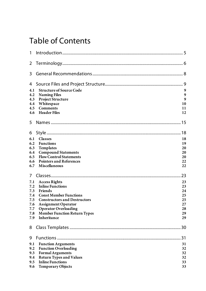## Table of Contents

| 1   |                                     |    |
|-----|-------------------------------------|----|
| 2   |                                     |    |
| 3   |                                     |    |
| 4   |                                     | 9  |
| 4.1 | <b>Structure of Source Code</b>     | 9  |
| 4.2 | <b>Naming Files</b>                 | 9  |
| 4.3 | <b>Project Structure</b>            | 9  |
| 4.4 | Whitespace                          | 10 |
| 4.5 | <b>Comments</b>                     | 11 |
| 4.6 | <b>Header Files</b>                 | 12 |
| 5   |                                     | 15 |
| 6   |                                     | 18 |
| 6.1 | <b>Classes</b>                      | 18 |
| 6.2 | <b>Functions</b>                    | 19 |
| 6.3 | Templates                           | 20 |
| 6.4 | <b>Compound Statements</b>          | 20 |
| 6.5 | <b>Flow Control Statements</b>      | 20 |
| 6.6 | <b>Pointers and References</b>      | 22 |
| 6.7 | Miscellaneous                       | 22 |
| 7   |                                     | 23 |
| 7.1 | <b>Access Rights</b>                | 23 |
| 7.2 | <b>Inline Functions</b>             | 23 |
| 7.3 | Friends                             | 24 |
| 7.4 | <b>Const Member Functions</b>       | 25 |
| 7.5 | <b>Constructors and Destructors</b> | 25 |
| 7.6 | <b>Assignment Operator</b>          | 27 |
| 7.7 | <b>Operator Overloading</b>         | 28 |
| 7.8 | <b>Member Function Return Types</b> | 29 |
| 7.9 | Inheritance                         | 29 |
| 8   |                                     | 30 |
| 9   |                                     | 31 |
| 9.1 | <b>Function Arguments</b>           | 31 |
| 9.2 | <b>Function Overloading</b>         | 32 |
| 9.3 | <b>Formal Arguments</b>             | 32 |
| 9.4 | <b>Return Types and Values</b>      | 32 |
| 9.5 | <b>Inline Functions</b>             | 33 |
| 9.6 | <b>Temporary Objects</b>            | 33 |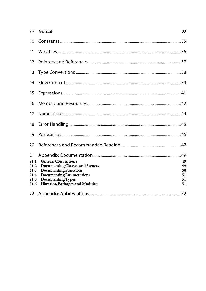| 9.7                                                | General                                                                                                                                                                                                | 33                               |
|----------------------------------------------------|--------------------------------------------------------------------------------------------------------------------------------------------------------------------------------------------------------|----------------------------------|
| 10                                                 |                                                                                                                                                                                                        |                                  |
| 11                                                 |                                                                                                                                                                                                        |                                  |
| 12                                                 |                                                                                                                                                                                                        |                                  |
| 13                                                 |                                                                                                                                                                                                        |                                  |
| 14                                                 |                                                                                                                                                                                                        |                                  |
| 15                                                 |                                                                                                                                                                                                        |                                  |
| 16                                                 |                                                                                                                                                                                                        |                                  |
| 17                                                 |                                                                                                                                                                                                        |                                  |
| 18                                                 |                                                                                                                                                                                                        |                                  |
| 19                                                 |                                                                                                                                                                                                        |                                  |
| 20                                                 |                                                                                                                                                                                                        |                                  |
| 21<br>21.1<br>21.2<br>21.3<br>21.4<br>21.5<br>21.6 | <b>General Conventions</b><br><b>Documenting Classes and Structs</b><br><b>Documenting Functions</b><br><b>Documenting Enumerations</b><br><b>Documenting Types</b><br>Libraries, Packages and Modules | 49<br>49<br>50<br>51<br>51<br>51 |
| 22                                                 |                                                                                                                                                                                                        |                                  |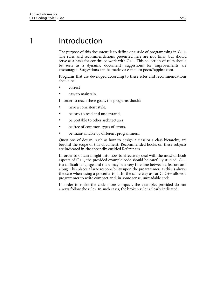## 1 Introduction

The purpose of this document is to define one style of programming in C++. The rules and recommendations presented here are not final, but should serve as a basis for continued work with C++. This collection of rules should be seen as a dynamic document; suggestions for improvements are encouraged. Suggestions can be made via e-mail to poco@appinf.com.

Programs that are developed according to these rules and recommendations should be:

- correct
- easy to maintain.

In order to reach these goals, the programs should:

- have a consistent style,
- be easy to read and understand,
- be portable to other architectures,
- be free of common types of errors,
- be maintainable by different programmers.

Questions of design, such as how to design a class or a class hierarchy, are beyond the scope of this document. Recommended books on these subjects are indicated in the appendix entitled References.

In order to obtain insight into how to effectively deal with the most difficult aspects of C++, the provided example code should be carefully studied. C++ is a difficult language and there may be a very fine line between a feature and a bug. This places a large responsibility upon the programmer, as this is always the case when using a powerful tool. In the same way as for C, C++ allows a programmer to write compact and, in some sense, unreadable code.

In order to make the code more compact, the examples provided do not always follow the rules. In such cases, the broken rule is clearly indicated.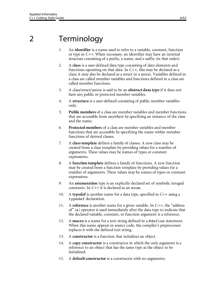# 2 Terminology

- 1. An **identifier** is a name used to refer to a variable, constant, function or type in C++. When necessary, an identifier may have an internal structure consisting of a prefix, a name, and a suffix (in that order).
- 2. A **class** is a user-defined data type consisting of data elements and functions operating on that data. In C++, this may be declared as a class; it may also be declared as a struct or a union. Variables defined in a class are called member variables and functions defined in a class are called member functions.
- 3. A class/struct/union is said to be an **abstract data type** if it does not have any public or protected member variables.
- 4. A **structure** is a user-defined consisting of public member variables only.
- 5. **Public members** of a class are member variables and member functions that are accessible from anywhere by specifying an instance of the class and the name.
- 6. **Protected members** of a class are member variables and member functions that are accessible by specifying the name within member functions of derived classes.
- 7. A **class template** defines a family of classes. A new class may be created from a class template by providing values for a number of arguments. These values may be names of types or constant expressions.
- 8. A **function template** defines a family of functions. A new function may be created from a function template by providing values for a number of arguments. These values may be names of types or constant expressions.
- 9. An **enumeration** type is an explicitly declared set of symbolic integral constants. In C++ it is declared as an enum.
- 10. A **typedef** is another name for a data type, specified in C++ using a typedef declaration.
- 11. A **reference** is another name for a given variable. In C++, the "address of" (&) operator is used immediately after the data type to indicate that the declared variable, constant, or function argument is a reference.
- 12. A **macro** is a name for a text string defined in a #define statement. When this name appears in source code, the compiler's preprocessor replaces it with the defined text string.
- 13. A **constructor** is a function that initializes an object.
- 14. A **copy constructor** is a constructor in which the only argument is a reference to an object that has the same type as the object to be initialized.
- 15. A **default constructor** is a constructor with no arguments.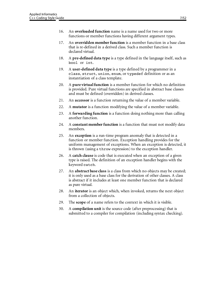- 16. An **overloaded function** name is a name used for two or more functions or member functions having different argument types.
- 17. An **overridden member function** is a member function in a base class that is re-defined in a derived class. Such a member function is declared virtual.
- 18. A **pre-defined data type** is a type defined in the language itself, such as bool or int.
- 19. A **user-defined data type** is a type defined by a programmer in a class, struct, union, enum, or typedef definition or as an instantiation of a class template.
- 20. A **pure virtual function** is a member function for which no definition is provided. Pure virtual functions are specified in abstract base classes and must be defined (overridden) in derived classes.
- 21. An **accessor** is a function returning the value of a member variable.
- 22. A **mutator** is a function modifying the value of a member variable.
- 23. A **forwarding function** is a function doing nothing more than calling another function.
- 24. A **constant member function** is a function that must not modify data members.
- 25. An **exception** is a run-time program anomaly that is detected in a function or member function. Exception handling provides for the uniform management of exceptions. When an exception is detected, it is thrown (using a throw expression) to the exception handler.
- 26. A **catch clause** is code that is executed when an exception of a given type is raised. The definition of an exception handler begins with the keyword catch.
- 27. An **abstract base class** is a class from which no objects may be created; it is only used as a base class for the derivation of other classes. A class is abstract if it includes at least one member function that is declared as pure virtual.
- 28. An **iterator** is an object which, when invoked, returns the next object from a collection of objects.
- 29. The **scope** of a name refers to the context in which it is visible.
- 30. A **compilation unit** is the source code (after preprocessing) that is submitted to a compiler for compilation (including syntax checking).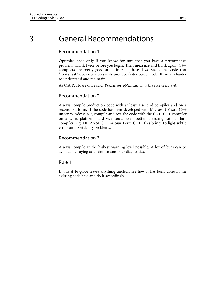## 3 General Recommendations

#### Recommendation 1

Optimize code only if you know for sure that you have a performance problem. Think twice before you begin. Then **measure** and think again. C++ compilers are pretty good at optimizing these days. So, source code that "looks fast" does not necessarily produce faster object code. It only is harder to understand and maintain.

As C.A.R. Hoare once said: *Premature optimization is the root of all evil.*

#### Recommendation 2

Always compile production code with at least a second compiler and on a second platform. If the code has been developed with Microsoft Visual C++ under Windows XP, compile and test the code with the GNU C++ compiler on a Unix platform, and vice versa. Even better is testing with a third compiler, e.g. HP ANSI C++ or Sun Forte C++. This brings to light subtle errors and portability problems.

#### Recommendation 3

Always compile at the highest warning level possible. A lot of bugs can be avoided by paying attention to compiler diagnostics.

#### Rule 1

If this style guide leaves anything unclear, see how it has been done in the existing code base and do it accordingly.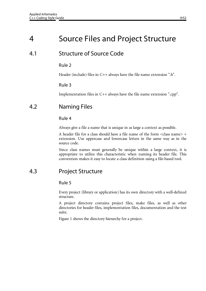## 4 Source Files and Project Structure

## 4.1 Structure of Source Code

#### Rule 2

Header (include) files in C++ always have the file name extension ".h".

#### Rule 3

Implementation files in C++ always have the file name extension ".cpp".

## 4.2 Naming Files

#### Rule 4

Always give a file a name that is unique in as large a context as possible.

A header file for a class should have a file name of the form <class name> + extension. Use uppercase and lowercase letters in the same way as in the source code.

Since class names must generally be unique within a large context, it is appropriate to utilize this characteristic when naming its header file. This convention makes it easy to locate a class definition using a file-based tool.

## 4.3 Project Structure

#### Rule 5

Every project (library or application) has its own directory with a well-defined structure.

A project directory contains project files, make files, as well as other directories for header files, implementation files, documentation and the test suite.

Figure 1 shows the directory hierarchy for a project.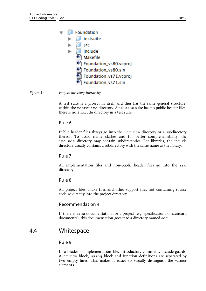|  | <b>Foundation</b>      |  |
|--|------------------------|--|
|  | testsuite              |  |
|  | src                    |  |
|  | include                |  |
|  | Makefile               |  |
|  | Foundation_vs80.vcproj |  |
|  | Foundation_vs80.sln    |  |
|  | Foundation_vs71.vcproj |  |
|  | Foundation_vs71.sln    |  |

*Figure 1: Project directory hierarchy*

A test suite is a project in itself and thus has the same general structure, within the testsuite directory. Since a test suite has no public header files, there is no include directory in a test suite.

#### Rule 6

Public header files always go into the include directory or a subdirectory thereof. To avoid name clashes and for better comprehensibility, the include directory may contain subdirectories. For libraries, the include directory usually contains a subdirectory with the same name as the library.

#### Rule 7

All implementation files and non-public header files go into the src directory.

#### Rule 8

All project files, make files and other support files not containing source code go directly into the project directory.

#### Recommendation 4

If there is extra documentation for a project (e.g. specifications or standard documents), this documentation goes into a directory named doc.

### 4.4 Whitespace

#### Rule 9

In a header or implementation file, introductory comment, include guards, #include block, using block and function definitions are separated by two empty lines. This makes it easier to visually distinguish the various elements.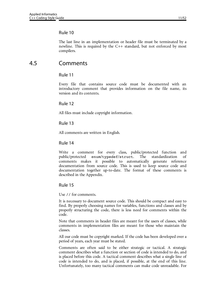#### Rule 10

The last line in an implementation or header file must be terminated by a newline. This is required by the C++ standard, but not enforced by most compilers.

### 4.5 Comments

#### Rule 11

Every file that contains source code must be documented with an introductory comment that provides information on the file name, its version and its contents.

#### Rule 12

All files must include copyright information.

#### Rule 13

All comments are written in English.

#### Rule 14

Write a comment for every class, public/protected function and public/protected enum/typedef/struct. The standardization of comments makes it possible to automatically generate reference documentation from source code. This is used to keep source code and documentation together up-to-date. The format of these comments is described in the Appendix.

#### Rule 15

Use // for comments.

It is necessary to document source code. This should be compact and easy to find. By properly choosing names for variables, functions and classes and by properly structuring the code, there is less need for comments within the code.

Note that comments in header files are meant for the users of classes, while comments in implementation files are meant for those who maintain the classes.

All our code must be copyright marked. If the code has been developed over a period of years, each year must be stated.

Comments are often said to be either strategic or tactical. A strategic comment describes what a function or section of code is intended to do, and is placed before this code. A tactical comment describes what a single line of code is intended to do, and is placed, if possible, at the end of this line. Unfortunately, too many tactical comments can make code unreadable. For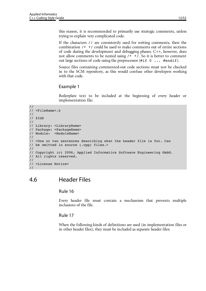this reason, it is recommended to primarily use strategic comments, unless trying to explain very complicated code.

If the characters // are consistently used for writing comments, then the combination /\* \*/ could be used to make comments out of entire sections of code during the development and debugging phases. C++, however, does not allow comments to be nested using  $/*$  \*/. So it is better to comment out large sections of code using the preprocessor  $(\#if \ o \ ... \#endif).$ 

Source files containing commented-out code sections must not be checked in to the SCM repository, as this would confuse other developers working with that code.

#### Example 1

Boilerplate text to be included at the beginning of every header or implementation file:

```
//
// <FileName>.h
//
// $Id$
//
// Library: <LibraryName>
// Package: <PackageName>
// Module: <ModuleName>
//
// <One or two sentences describing what the header file is for. Can
// be omitted in source (.cpp) files.>
//
// Copyright (c) 2006, Applied Informatics Software Engineering GmbH.
// All rights reserved.
// 
// <License Notice>
//
```
### 4.6 Header Files

#### Rule 16

Every header file must contain a mechanism that prevents multiple inclusions of the file.

#### Rule 17

When the following kinds of definitions are used (in implementation files or in other header files), they must be included as separate header files: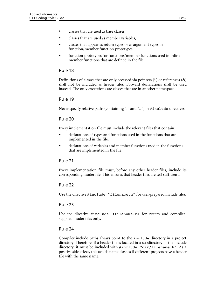- classes that are used as base classes,
- classes that are used as member variables,
- classes that appear as return types or as argument types in function/member function prototypes.
- function prototypes for functions/member functions used in inline member functions that are defined in the file.

#### Rule 18

Definitions of classes that are only accessed via pointers  $(*)$  or references  $(\&)$ shall not be included as header files. Forward declarations shall be used instead. The only exceptions are classes that are in another namespace.

#### Rule 19

Never specify relative paths (containing "." and "..") in #include directives.

#### Rule 20

Every implementation file must include the relevant files that contain:

- declarations of types and functions used in the functions that are implemented in the file.
- declarations of variables and member functions used in the functions that are implemented in the file.

#### Rule 21

Every implementation file must, before any other header files, include its corresponding header file. This ensures that header files are self sufficient.

#### Rule 22

Use the directive #include "filename.h" for user-prepared include files.

#### Rule 23

Use the directive #include <filename.h> for system and compilersupplied header files only.

#### Rule 24

Compiler include paths always point to the include directory in a project directory. Therefore, if a header file is located in a subdirectory of the include directory, it must be included with #include "dir/filename.h". As a positive side effect, this avoids name clashes if different projects have a header file with the same name.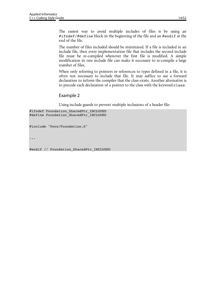The easiest way to avoid multiple includes of files is by using an #ifndef/#define block in the beginning of the file and an #endif at the end of the file.

The number of files included should be minimized. If a file is included in an include file, then every implementation file that includes the second include file must be re-compiled whenever the first file is modified. A simple modification in one include file can make it necessary to re-compile a large number of files.

When only referring to pointers or references to types defined in a file, it is often not necessary to include that file. It may suffice to use a forward declaration to inform the compiler that the class exists. Another alternative is to precede each declaration of a pointer to the class with the keyword class.

#### Example 2

Using include guards to prevent multiple inclusions of a header file:

```
#ifndef Foundation_SharedPtr_INCLUDED
#define Foundation_SharedPtr_INCLUDED
```
#include "Poco/Foundation.h"

...

#endif // Foundation\_SharedPtr\_INCLUDED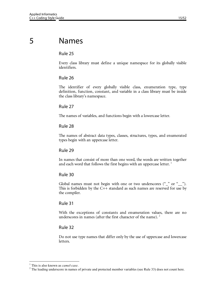## 5 Names

#### Rule 25

Every class library must define a unique namespace for its globally visible identifiers.

#### Rule 26

The identifier of every globally visible class, enumeration type, type definition, function, constant, and variable in a class library must be inside the class library's namespace.

#### Rule 27

The names of variables, and functions begin with a lowercase letter.

#### Rule 28

The names of abstract data types, classes, structures, types, and enumerated types begin with an uppercase letter.

#### Rule 29

In names that consist of more than one word, the words are written together and each word that follows the first begins with an uppercase letter.<sup>1</sup>

#### Rule 30

Global names must not begin with one or two underscores ("\_" or "\_"). This is forbidden by the C++ standard as such names are reserved for use by the compiler.

#### Rule 31

With the exceptions of constants and enumeration values, there are no underscores in names (after the first character of the name).  $2^2$ 

#### Rule 32

Do not use type names that differ only by the use of uppercase and lowercase letters.

 $\frac{1}{1}$ <sup>1</sup> This is also known as *camel-case*.

 $2$  The leading underscore in names of private and protected member variables (see Rule 33) does not count here.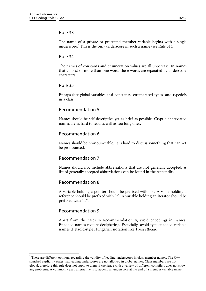#### Rule 33

The name of a private or protected member variable begins with a single underscore.<sup>3</sup> This is the only underscore in such a name (see Rule 31).

#### Rule 34

The names of constants and enumeration values are all uppercase. In names that consist of more than one word, these words are separated by underscore characters.

#### Rule 35

Encapsulate global variables and constants, enumerated types, and typedefs in a class.

#### Recommendation 5

Names should be self-descriptive yet as brief as possible. Cryptic abbreviated names are as hard to read as well as too long ones.

#### Recommendation 6

Names should be pronounceable. It is hard to discuss something that cannot be pronounced.

#### Recommendation 7

Names should not include abbreviations that are not generally accepted. A list of generally accepted abbreviations can be found in the Appendix.

#### Recommendation 8

A variable holding a pointer should be prefixed with "p". A value holding a reference should be prefixed with "r". A variable holding an iterator should be prefixed with "it".

#### Recommendation 9

Apart from the cases in Recommendation 8, avoid encodings in names. Encoded names require deciphering. Especially, avoid type-encoded variable names (Petzold-style Hungarian notation like lpcszName).

<sup>&</sup>lt;sup>2</sup><br>3  $3$  There are different opinions regarding the validity of leading underscores in class member names. The C++ standard explicitly states that leading underscores are not allowed in global names. Class members are not global, therefore this rule does not apply to them. Experience with a variety of different compilers does not show any problems. A commonly used alternative is to append an underscore at the end of a member variable name.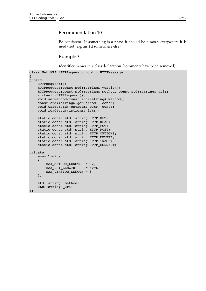#### Recommendation 10

Be consistent. If something is a name it should be a name everywhere it is used (not, e.g. an id somewhere else).

#### Example 3

Identifier names in a class declaration (comments have been removed):

```
class Net_API HTTPRequest: public HTTPMessage
{
public:
     HTTPRequest();
     HTTPRequest(const std::string& version);
     HTTPRequest(const std::string& method, const std::string& uri);
    virtual ~HTTPRequest();
     void setMethod(const std::string& method);
     const std::string& getMethod() const;
     void write(std::ostream& ostr) const;
    void read(std::istream& istr);
    static const std:: string HTTP GET;
    static const std:: string HTTP HEAD;
    static const std:: string HTTP PUT;
    static const std::string HTTP POST;
    static const std::string HTTP_OPTIONS;
    static const std::string HTTP DELETE;
     static const std::string HTTP_TRACE;
    static const std:: string HTTP CONNECT;
private:
     enum Limits
     {
        MAX_METHOD_LENGTH = 32,<br>MAX URI LENGTH = 4096,
        MAX URI LENGTH
        MAX VERSION LENGTH = 8
     };
     std::string _method;
    std::string uri;
```
};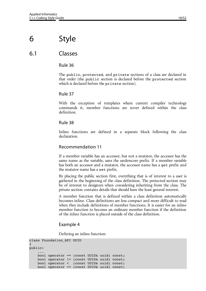## 6 Style

## 6.1 Classes

#### Rule 36

The public, protected, and private sections of a class are declared in that order (the public section is declared before the protected section which is declared before the private section).

#### Rule 37

With the exception of templates where current compiler technology commands it, member functions are never defined within the class definition.

#### Rule 38

Inline functions are defined in a separate block following the class declaration.

#### Recommendation 11

If a member variable has an accessor, but not a mutator, the accessor has the same name as the variable, sans the underscore prefix. If a member variable has both an accessor and a mutator, the accessor name has a get prefix and the mutator name has a set prefix.

By placing the public section first, everything that is of interest to a user is gathered in the beginning of the class definition. The protected section may be of interest to designers when considering inheriting from the class. The private section contains details that should have the least general interest.

A member function that is defined within a class definition automatically becomes inline. Class definitions are less compact and more difficult to read when they include definitions of member functions. It is easier for an inline member function to become an ordinary member function if the definition of the inline function is placed outside of the class definition.

#### Example 4

Defining an inline function:

```
class Foundation_API UUID
{
public:
 ...
     bool operator == (const UUID& uuid) const;
     bool operator != (const UUID& uuid) const;
     bool operator < (const UUID& uuid) const;
     bool operator <= (const UUID& uuid) const;
```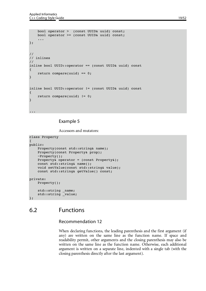```
 bool operator > (const UUID& uuid) const;
     bool operator >= (const UUID& uuid) const;
     ...
};
//
// inlines
//
inline bool UUID::operator == (const UUID& uuid) const
{
     return compare(uuid) == 0;
}
inline bool UUID::operator != (const UUID& uuid) const
{
     return compare(uuid) != 0;
}
...
```
#### Example 5

Accessors and mutators:

```
class Property
{
public:
    Property(const std::string& name);
    Property(const Property& prop);
     ~Property();
    Property& operator = (const Property&);
     const std::string& name();
     void setValue(const std::string& value);
     const std::string& getValue() const;
private:
     Property();
     std::string _name;
     std::string _value;
};
```
## 6.2 Functions

#### Recommendation 12

When declaring functions, the leading parenthesis and the first argument (if any) are written on the same line as the function name. If space and readability permit, other arguments and the closing parenthesis may also be written on the same line as the function name. Otherwise, each additional argument is written on a separate line, indented with a single tab (with the closing parenthesis directly after the last argument).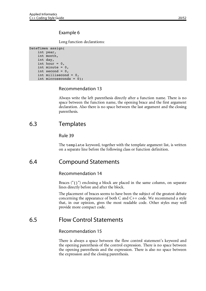#### Example 6

Long function declarations:

```
DateTime& assign(
     int year, 
     int month, 
     int day, 
    int hour = 0,
    int minute = 0,int second = 0, int millisecond = 0, 
     int microseconds = 0);
```
#### Recommendation 13

Always write the left parenthesis directly after a function name. There is no space between the function name, the opening brace and the first argument declaration. Also there is no space between the last argument and the closing parenthesis.

### 6.3 Templates

#### Rule 39

The template keyword, together with the template argument list, is written on a separate line before the following class or function definition.

### 6.4 Compound Statements

#### Recommendation 14

Braces ( $\lceil \{ \} \rceil$ ) enclosing a block are placed in the same column, on separate lines directly before and after the block.

The placement of braces seems to have been the subject of the greatest debate concerning the appearance of both C and C++ code. We recommend a style that, in our opinion, gives the most readable code. Other styles may well provide more compact code.

### 6.5 Flow Control Statements

#### Recommendation 15

There is always a space between the flow control statement's keyword and the opening parenthesis of the control expression. There is no space between the opening parenthesis and the expression. There is also no space between the expression and the closing parenthesis.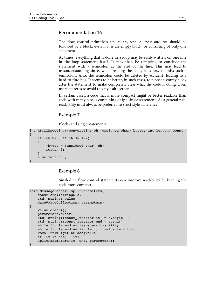The flow control primitives if, else, while, for and do should be followed by a block, even if it is an empty block, or consisting of only one statement.

At times, everything that is done in a loop may be easily written on one line in the loop statement itself. It may then be tempting to conclude the statement with a semicolon at the end of the line. This may lead to misunderstanding since, when reading the code, it is easy to miss such a semicolon. Also, the semicolon could be deleted by accident, leading to a hard-to-find bug. It seems to be better, in such cases, to place an empty block after the statement to make completely clear what the code is doing. Even more better is to avoid this style altogether.

In certain cases, a code that is more compact might be better readable than code with many blocks containing only a single statement. As a general rule, readability must always be preferred to strict style adherence.

#### Example 7

Blocks and single statements:

```
int ASCIIEncoding::convert(int ch, unsigned char* bytes, int length) const
{
    if (ch >= 0 & & ch <= 127)
     {
         *bytes = (unsigned char) ch;
         return 1;
 }
     else return 0;
}
```
#### Example 8

Single-line flow control statements can improve readability by keeping the code more compact:

```
void MessageHeader::splitParameters(
     const std::string& s, 
     std::string& value, 
     NameValueCollection& parameters)
{
     value.clear();
     parameters.clear();
    std::string::const_iterator it = s.begin();
    std::string::const_iterator end = s.end();
    while (it != end \&\& isspace(*it)) ++it;
    while (it != end && *it != ';') value += *it++;
     Poco::trimRightInPlace(value);
    if (it != end) ++it;
     splitParameters(it, end, parameters);
}
```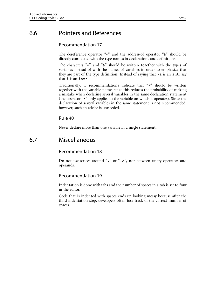## 6.6 Pointers and References

#### Recommendation 17

The dereference operator "\*" and the address-of operator "&" should be directly connected with the type names in declarations and definitions.

The characters "\*" and "&" should be written together with the types of variables instead of with the names of variables in order to emphasize that they are part of the type definition. Instead of saying that  $*$  is an int, say that i is an int\*.

Traditionally, C recommendations indicate that "\*" should be written together with the variable name, since this reduces the probability of making a mistake when declaring several variables in the same declaration statement (the operator "\*" only applies to the variable on which it operates). Since the declaration of several variables in the same statement is not recommended, however, such an advice is unneeded.

#### Rule 40

Never declare more than one variable in a single statement.

### 6.7 Miscellaneous

#### Recommendation 18

Do not use spaces around "." or "->", nor between unary operators and operands.

#### Recommendation 19

Indentation is done with tabs and the number of spaces in a tab is set to four in the editor.

Code that is indented with spaces ends up looking messy because after the third indentation step, developers often lose track of the correct number of spaces.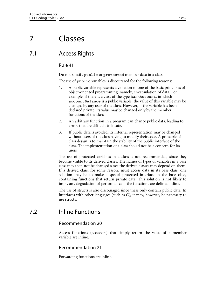## 7 Classes

### 7.1 Access Rights

#### Rule 41

Do not specify public or protected member data in a class.

The use of public variables is discouraged for the following reasons:

- 1. A public variable represents a violation of one of the basic principles of object-oriented programming, namely, encapsulation of data. For example, if there is a class of the type BankAccount, in which accountBalance is a public variable, the value of this variable may be changed by any user of the class. However, if the variable has been declared private, its value may be changed only by the member functions of the class.
- 2. An arbitrary function in a program can change public data, leading to errors that are difficult to locate.
- 3. If public data is avoided, its internal representation may be changed without users of the class having to modify their code. A principle of class design is to maintain the stability of the public interface of the class. The implementation of a class should not be a concern for its users.

The use of protected variables in a class is not recommended, since they become visible to its derived classes. The names of types or variables in a base class may then not be changed since the derived classes may depend on them. If a derived class, for some reason, must access data in its base class, one solution may be to make a special protected interface in the base class, containing functions that return private data. This solution is not likely to imply any degradation of performance if the functions are defined inline.

The use of structs is also discouraged since these only contain public data. In interfaces with other languages (such as C), it may, however, be necessary to use structs.

## 7.2 Inline Functions

#### Recommendation 20

Access functions (accessors) that simply return the value of a member variable are inline.

#### Recommendation 21

Forwarding functions are inline.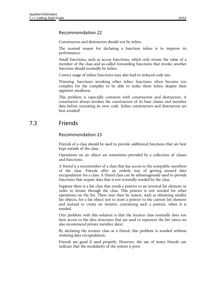#### Recommendation 22

Constructors and destructors should not be inline.

The normal reason for declaring a function inline is to improve its performance.

Small functions, such as access functions, which only return the value of a member of the class and so-called forwarding functions that invoke another function should normally be inline.

Correct usage of inline functions may also lead to reduced code size.

Warning: functions invoking other inline functions often become too complex for the compiler to be able to make them inline despite their apparent smallness.

This problem is especially common with constructors and destructors. A constructor always invokes the constructors of its base classes and member data before executing its own code. Inline constructors and destructors are best avoided!

## 7.3 Friends

#### Recommendation 23

Friends of a class should be used to provide additional functions that are best kept outside of the class.

Operations on an object are sometimes provided by a collection of classes and functions.

A friend is a nonmember of a class that has access to the nonpublic members of the class. Friends offer an orderly way of getting around data encapsulation for a class. A friend class can be advantageously used to provide functions that require data that is not normally needed by the class.

Suppose there is a list class that needs a pointer to an internal list element in order to iterate through the class. This pointer is not needed for other operations on the list. There may then be reason, such as obtaining smaller list objects, for a list object not to store a pointer to the current list element and instead to create an iterator, containing such a pointer, when it is needed.

One problem with this solution is that the iterator class normally does not have access to the data structures that are used to represent the list (since we also recommend private member data).

By declaring the iterator class as a friend, this problem is avoided without violating data encapsulation.

Friends are good if used properly. However, the use of many friends can indicate that the modularity of the system is poor.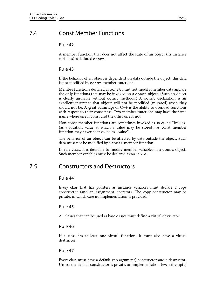## 7.4 Const Member Functions

#### Rule 42

A member function that does not affect the state of an object (its instance variables) is declared const.

#### Rule 43

If the behavior of an object is dependent on data outside the object, this data is not modified by const member functions.

Member functions declared as const must not modify member data and are the only functions that may be invoked on a const object. (Such an object is clearly unusable without const methods.) A const declaration is an excellent insurance that objects will not be modified (mutated) when they should not be. A great advantage of  $C++$  is the ability to overload functions with respect to their const-ness. Two member functions may have the same name where one is const and the other one is not.

Non-const member functions are sometimes invoked as so-called "lvalues" (as a location value at which a value may be stored). A const member function may never be invoked as "lvalue".

The behavior of an object can be affected by data outside the object. Such data must not be modified by a const member function.

In rare cases, it is desirable to modify member variables in a const object. Such member variables must be declared as mutable.

### 7.5 Constructors and Destructors

#### Rule 44

Every class that has pointers as instance variables must declare a copy constructor (and an assignment operator). The copy constructor may be private, in which case no implementation is provided.

#### Rule 45

All classes that can be used as base classes must define a virtual destructor.

#### Rule 46

If a class has at least one virtual function, it must also have a virtual destructor.

#### Rule 47

Every class must have a default (no-argument) constructor and a destructor. Unless the default constructor is private, an implementation (even if empty)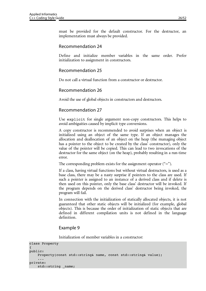must be provided for the default constructor. For the destructor, an implementation must always be provided.

#### Recommendation 24

Define and initialize member variables in the same order. Prefer initialization to assignment in constructors.

#### Recommendation 25

Do not call a virtual function from a constructor or destructor.

#### Recommendation 26

Avoid the use of global objects in constructors and destructors.

#### Recommendation 27

Use explicit for single argument non-copy constructors. This helps to avoid ambiguities caused by implicit type conversions.

A copy constructor is recommended to avoid surprises when an object is initialized using an object of the same type. If an object manages the allocation and deallocation of an object on the heap (the managing object has a pointer to the object to be created by the class' constructor), only the value of the pointer will be copied. This can lead to two invocations of the destructor for the same object (on the heap), probably resulting in a run-time error.

The corresponding problem exists for the assignment operator  $(\tilde{\ }^{\prime}=\tilde{\ }^{\prime})$ .

If a class, having virtual functions but without virtual destructors, is used as a base class, there may be a nasty surprise if pointers to the class are used. If such a pointer is assigned to an instance of a derived class and if delete is then used on this pointer, only the base class' destructor will be invoked. If the program depends on the derived class' destructor being invoked, the program will fail.

In connection with the initialization of statically allocated objects, it is not guaranteed that other static objects will be initialized (for example, global objects). This is because the order of initialization of static objects that are defined in different compilation units is not defined in the language definition.

#### Example 9

Initialization of member variables in a constructor:

```
class Property
{
public:
    Property(const std::string& name, const std::string& value);
 ...
private:
    std::string name;
```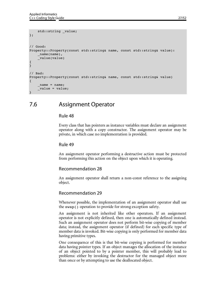```
 std::string _value;
};
// Good:
Property::Property(const std::string& name, const std::string& value):
     _name(name),
     _value(value)
{
}
// Bad:
Property::Property(const std::string& name, const std::string& value)
\{name = name; _value = value;
\left| \right|
```
## 7.6 Assignment Operator

#### Rule 48

Every class that has pointers as instance variables must declare an assignment operator along with a copy constructor. The assignment operator may be private, in which case no implementation is provided.

#### Rule 49

An assignment operator performing a destructive action must be protected from performing this action on the object upon which it is operating.

#### Recommendation 28

An assignment operator shall return a non-const reference to the assigning object.

#### Recommendation 29

Whenever possible, the implementation of an assignment operator shall use the swap() operation to provide for strong exception safety.

An assignment is not inherited like other operators. If an assignment operator is not explicitly defined, then one is automatically defined instead. Such an assignment operator does not perform bit-wise copying of member data; instead, the assignment operator (if defined) for each specific type of member data is invoked. Bit-wise copying is only performed for member data having primitive types.

One consequence of this is that bit-wise copying is performed for member data having pointer types. If an object manages the allocation of the instance of an object pointed to by a pointer member, this will probably lead to problems: either by invoking the destructor for the managed object more than once or by attempting to use the deallocated object.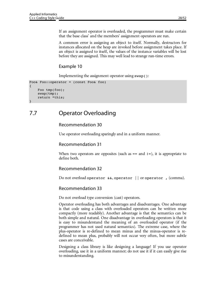If an assignment operator is overloaded, the programmer must make certain that the base class' and the members' assignment operators are run.

A common error is assigning an object to itself. Normally, destructors for instances allocated on the heap are invoked before assignment takes place. If an object is assigned to itself, the values of the instance variables will be lost before they are assigned. This may well lead to strange run-time errors.

#### Example 10

Implementing the assignment operator using swap():

```
Foo& Foo::operator = (const Foo& foo)
{
     Foo tmp(foo);
     swap(tmp);
     return *this;
}
```
## 7.7 Operator Overloading

#### Recommendation 30

Use operator overloading sparingly and in a uniform manner.

#### Recommendation 31

When two operators are opposites (such as  $==$  and  $!=$ ), it is appropriate to define both.

#### Recommendation 32

Do not overload operator &&, operator || or operator , (comma).

#### Recommendation 33

Do not overload type conversion (cast) operators.

Operator overloading has both advantages and disadvantages. One advantage is that code using a class with overloaded operators can be written more compactly (more readably). Another advantage is that the semantics can be both simple and natural. One disadvantage in overloading operators is that it is easy to misunderstand the meaning of an overloaded operator (if the programmer has not used natural semantics). The extreme case, where the plus-operator is re-defined to mean minus and the minus-operator is redefined to mean plus, probably will not occur very often, but more subtle cases are conceivable.

Designing a class library is like designing a language! If you use operator overloading, use it in a uniform manner; do not use it if it can easily give rise to misunderstanding.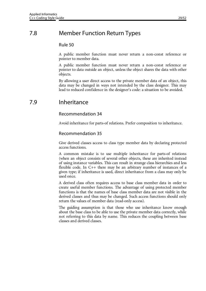## 7.8 Member Function Return Types

#### Rule 50

A public member function must never return a non-const reference or pointer to member data.

A public member function must never return a non-const reference or pointer to data outside an object, unless the object shares the data with other objects.

By allowing a user direct access to the private member data of an object, this data may be changed in ways not intended by the class designer. This may lead to reduced confidence in the designer's code: a situation to be avoided.

### 7.9 Inheritance

#### Recommendation 34

Avoid inheritance for parts-of relations. Prefer composition to inheritance.

#### Recommendation 35

Give derived classes access to class type member data by declaring protected access functions.

A common mistake is to use multiple inheritance for parts-of relations (when an object consists of several other objects, these are inherited instead of using instance variables. This can result in strange class hierarchies and less flexible code. In C++ there may be an arbitrary number of instances of a given type; if inheritance is used, direct inheritance from a class may only be used once.

A derived class often requires access to base class member data in order to create useful member functions. The advantage of using protected member functions is that the names of base class member data are not visible in the derived classes and thus may be changed. Such access functions should only return the values of member data (read-only access).

The guiding assumption is that those who use inheritance know enough about the base class to be able to use the private member data correctly, while not referring to this data by name. This reduces the coupling between base classes and derived classes.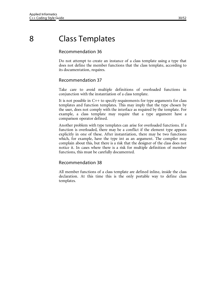## 8 Class Templates

#### Recommendation 36

Do not attempt to create an instance of a class template using a type that does not define the member functions that the class template, according to its documentation, requires.

#### Recommendation 37

Take care to avoid multiple definitions of overloaded functions in conjunction with the instantiation of a class template.

It is not possible in C++ to specify requirements for type arguments for class templates and function templates. This may imply that the type chosen by the user, does not comply with the interface as required by the template. For example, a class template may require that a type argument have a comparison operator defined.

Another problem with type templates can arise for overloaded functions. If a function is overloaded, there may be a conflict if the element type appears explicitly in one of these. After instantiation, there may be two functions which, for example, have the type int as an argument. The compiler may complain about this, but there is a risk that the designer of the class does not notice it. In cases where there is a risk for multiple definition of member functions, this must be carefully documented.

#### Recommendation 38

All member functions of a class template are defined inline, inside the class declaration. At this time this is the only portable way to define class templates.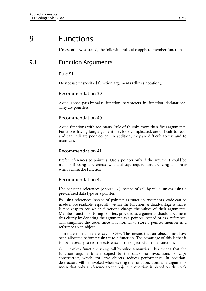## 9 Functions

Unless otherwise stated, the following rules also apply to member functions.

## 9.1 Function Arguments

#### Rule 51

Do not use unspecified function arguments (ellipsis notation).

#### Recommendation 39

Avoid const pass-by-value function parameters in function declarations. They are pointless.

#### Recommendation 40

Avoid functions with too many (rule of thumb: more than five) arguments. Functions having long argument lists look complicated, are difficult to read, and can indicate poor design. In addition, they are difficult to use and to maintain.

#### Recommendation 41

Prefer references to pointers. Use a pointer only if the argument could be null or if using a reference would always require dereferencing a pointer when calling the function.

#### Recommendation 42

Use constant references (const  $\infty$ ) instead of call-by-value, unless using a pre-defined data type or a pointer.

By using references instead of pointers as function arguments, code can be made more readable, especially within the function. A disadvantage is that it is not easy to see which functions change the values of their arguments. Member functions storing pointers provided as arguments should document this clearly by declaring the argument as a pointer instead of as a reference. This simplifies the code, since it is normal to store a pointer member as a reference to an object.

There are no null references in C++. This means that an object must have been allocated before passing it to a function. The advantage of this is that it is not necessary to test the existence of the object within the function.

C++ invokes functions using call-by-value semantics. This means that the function arguments are copied to the stack via invocations of copy constructors, which, for large objects, reduces performance. In addition, destructors will be invoked when exiting the function. const & arguments mean that only a reference to the object in question is placed on the stack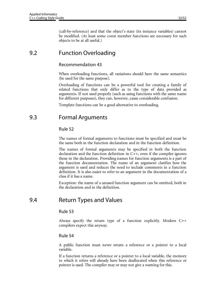(call-by-reference) and that the object's state (its instance variables) cannot be modified. (At least some const member functions are necessary for such objects to be at all useful.)

## 9.2 Function Overloading

#### Recommendation 43

When overloading functions, all variations should have the same semantics (be used for the same purpose).

Overloading of functions can be a powerful tool for creating a family of related functions that only differ as to the type of data provided as arguments. If not used properly (such as using functions with the same name for different purposes), they can, however, cause considerable confusion.

Template functions can be a good alternative to overloading.

### 9.3 Formal Arguments

#### Rule 52

The names of formal arguments to functions must be specified and must be the same both in the function declaration and in the function definition.

The names of formal arguments may be specified in both the function declaration and the function definition in  $C++$ , even if the compiler ignores those in the declaration. Providing names for function arguments is a part of the function documentation. The name of an argument clarifies how the argument is used and reduces the need to include comments in a function definition. It is also easier to refer to an argument in the documentation of a class if it has a name.

Exception: the name of a unused function argument can be omitted, both in the declaration and in the definition.

## 9.4 Return Types and Values

#### Rule 53

Always specify the return type of a function explicitly. Modern C++ compilers expect this anyway.

#### Rule 54

A public function must never return a reference or a pointer to a local variable.

If a function returns a reference or a pointer to a local variable, the memory to which it refers will already have been deallocated when this reference or pointer is used. The compiler may or may not give a warning for this.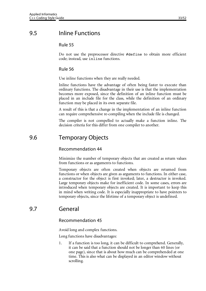#### Rule 55

Do not use the preprocessor directive #define to obtain more efficient code; instead, use inline functions.

#### Rule 56

Use inline functions when they are really needed.

Inline functions have the advantage of often being faster to execute than ordinary functions. The disadvantage in their use is that the implementation becomes more exposed, since the definition of an inline function must be placed in an include file for the class, while the definition of an ordinary function may be placed in its own separate file.

A result of this is that a change in the implementation of an inline function can require comprehensive re-compiling when the include file is changed.

The compiler is not compelled to actually make a function inline. The decision criteria for this differ from one compiler to another.

### 9.6 Temporary Objects

#### Recommendation 44

Minimize the number of temporary objects that are created as return values from functions or as arguments to functions.

Temporary objects are often created when objects are returned from functions or when objects are given as arguments to functions. In either case, a constructor for the object is first invoked; later, a destructor is invoked. Large temporary objects make for inefficient code. In some cases, errors are introduced when temporary objects are created. It is important to keep this in mind when writing code. It is especially inappropriate to have pointers to temporary objects, since the lifetime of a temporary object is undefined.

## 9.7 General

#### Recommendation 45

Avoid long and complex functions.

Long functions have disadvantages:

1. If a function is too long, it can be difficult to comprehend. Generally, it can be said that a function should not be longer than 60 lines (or one page), since that is about how much can be comprehended at one time. This is also what can be displayed in an editor window without scrolling.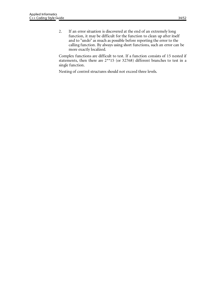2. If an error situation is discovered at the end of an extremely long function, it may be difficult for the function to clean up after itself and to "undo" as much as possible before reporting the error to the calling function. By always using short functions, such an error can be more exactly localized.

Complex functions are difficult to test. If a function consists of 15 nested if statements, then there are 2\*\*15 (or 32768) different branches to test in a single function.

Nesting of control structures should not exceed three levels.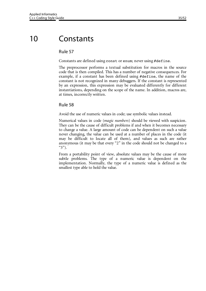## 10 Constants

#### Rule 57

Constants are defined using const or enum; never using #define.

The preprocessor performs a textual substitution for macros in the source code that is then compiled. This has a number of negative consequences. For example, if a constant has been defined using #define, the name of the constant is not recognized in many debuggers. If the constant is represented by an expression, this expression may be evaluated differently for different instantiations, depending on the scope of the name. In addition, macros are, at times, incorrectly written.

#### Rule 58

Avoid the use of numeric values in code; use symbolic values instead.

Numerical values in code (*magic numbers*) should be viewed with suspicion. They can be the cause of difficult problems if and when it becomes necessary to change a value. A large amount of code can be dependent on such a value never changing, the value can be used at a number of places in the code (it may be difficult to locate all of them), and values as such are rather anonymous (it may be that every "2" in the code should not be changed to a "3").

From a portability point of view, absolute values may be the cause of more subtle problems. The type of a numeric value is dependent on the implementation. Normally, the type of a numeric value is defined as the smallest type able to hold the value.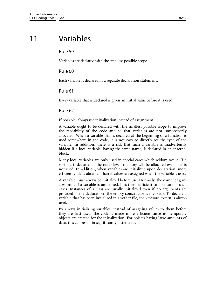## 11 Variables

#### Rule 59

Variables are declared with the smallest possible scope.

#### Rule 60

Each variable is declared in a separate declaration statement.

#### Rule 61

Every variable that is declared is given an initial value before it is used.

#### Rule 62

If possible, always use initialization instead of assignment.

A variable ought to be declared with the smallest possible scope to improve the readability of the code and so that variables are not unnecessarily allocated. When a variable that is declared at the beginning of a function is used somewhere in the code, it is not easy to directly see the type of the variable. In addition, there is a risk that such a variable is inadvertently hidden if a local variable, having the same name, is declared in an internal block.

Many local variables are only used in special cases which seldom occur. If a variable is declared at the outer level, memory will be allocated even if it is not used. In addition, when variables are initialized upon declaration, more efficient code is obtained than if values are assigned when the variable is used.

A variable must always be initialized before use. Normally, the compiler gives a warning if a variable is undefined. It is then sufficient to take care of such cases. Instances of a class are usually initialized even if no arguments are provided in the declaration (the empty constructor is invoked). To declare a variable that has been initialized in another file, the keyword extern is always used.

By always initializing variables, instead of assigning values to them before they are first used, the code is made more efficient since no temporary objects are created for the initialization. For objects having large amounts of data, this can result in significantly faster code.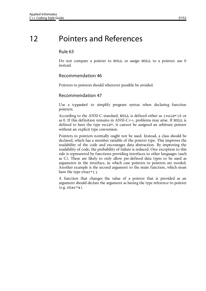## 12 Pointers and References

#### Rule 63

Do not compare a pointer to NULL or assign NULL to a pointer; use 0 instead.

#### Recommendation 46

Pointers to pointers should whenever possible be avoided.

#### Recommendation 47

Use a typedef to simplify program syntax when declaring function pointers.

According to the ANSI-C standard, NULL is defined either as (void\*)0 or as 0. If this definition remains in ANSI-C++, problems may arise. If NULL is defined to have the type void\*, it cannot be assigned an arbitrary pointer without an explicit type conversion.

Pointers to pointers normally ought not be used. Instead, a class should be declared, which has a member variable of the pointer type. This improves the readability of the code and encourages data abstraction. By improving the readability of code, the probability of failure is reduced. One exception to this rule is represented by functions providing interfaces to other languages (such as C). These are likely to only allow pre-defined data types to be used as arguments in the interface, in which case pointers to pointers are needed. Another example is the second argument to the main function, which must have the type char\*[].

A function that changes the value of a pointer that is provided as an argument should declare the argument as having the type reference to pointer  $(e.g. char*&).$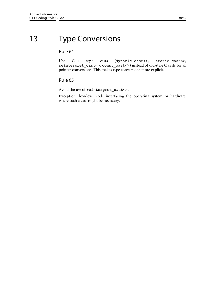## 13 Type Conversions

#### Rule 64

Use C++ style casts (dynamic\_cast<>, static\_cast<>, reinterpret\_cast<>, const\_cast<>) instead of old-style C casts for all pointer conversions. This makes type conversions more explicit.

#### Rule 65

Avoid the use of reinterpret\_cast<>.

Exception: low-level code interfacing the operating system or hardware, where such a cast might be necessary.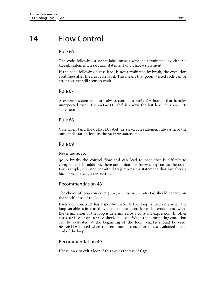## 14 Flow Control

#### Rule 66

The code following a case label must always be terminated by either a break statement, a return statement or a throw statement.

If the code following a case label is not terminated by break, the execution continues after the next case label. This means that poorly tested code can be erroneous yet still seem to work.

#### Rule 67

A switch statement must always contain a default branch that handles unexpected cases. The default label is always the last label in a switch statement.

#### Rule 68

Case labels (and the default label) in a switch statement always have the same indentation level as the switch statement.

#### Rule 69

Never use goto.

goto breaks the control flow and can lead to code that is difficult to comprehend. In addition, there are limitations for when goto can be used. For example, it is not permitted to jump past a statement that initializes a local object having a destructor.

#### Recommendation 48

The choice of loop construct (for, while or do while) should depend on the specific use of the loop.

Each loop construct has a specific usage. A for loop is used only when the loop variable is increased by a constant amount for each iteration and when the termination of the loop is determined by a constant expression. In other cases, while or do while should be used. When the terminating condition can be evaluated at the beginning of the loop, while should be used; do while is used when the terminating condition is best evaluated at the end of the loop.

#### Recommendation 49

Use break to exit a loop if this avoids the use of flags.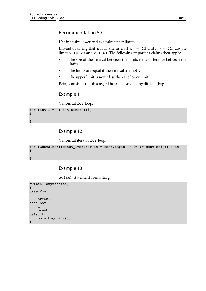#### Recommendation 50

Use inclusive lower and exclusive upper limits.

Instead of saying that x is in the interval  $x \ge 23$  and  $x \le 42$ , use the limits  $x$  >= 23 and  $x$  < 43. The following important claims then apply:

- The size of the interval between the limits is the difference between the limits.
- The limits are equal if the interval is empty.
- The upper limit is never less than the lower limit.

Being consistent in this regard helps to avoid many difficult bugs.

#### Example 11

Canonical for loop:

```
for (int i = 0; i < size; +i)
{
      ...
}
```
#### Example 12

Canonical iterator for loop:

```
for (Container::const_iterator it = cont.begin(); it != cont.end(); ++it)
{
     ...
\Box
```
#### Example 13

switch statement formatting:

```
switch (expression)
{
case foo:
      ...
     break;
case bar:
 …
     break;
default:
     poco_bugcheck();
}
```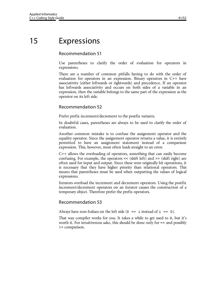## 15 Expressions

#### Recommendation 51

Use parentheses to clarify the order of evaluation for operators in expressions.

There are a number of common pitfalls having to do with the order of evaluation for operators in an expression. Binary operators in C++ have associativity (either leftwards or rightwards) and precedence. If an operator has leftwards associativity and occurs on both sides of a variable in an expression, then the variable belongs to the same part of the expression as the operator on its left side.

#### Recommendation 52

Prefer prefix increment/decrement to the postfix variants.

In doubtful cases, parentheses are always to be used to clarify the order of evaluation.

Another common mistake is to confuse the assignment operator and the equality operator. Since the assignment operator returns a value, it is entirely permitted to have an assignment statement instead of a comparison expression. This, however, most often leads straight to an error.

C++ allows the overloading of operators, something that can easily become confusing. For example, the operators << (shift left) and >> (shift right) are often used for input and output. Since these were originally bit operations, it is necessary that they have higher priority than relational operators. This means that parentheses must be used when outputting the values of logical expressions.

Iterators overload the increment and decrement operators. Using the postfix increment/decrement operators on an iterator causes the construction of a temporary object. Therefore prefer the prefix operators.

#### Recommendation 53

Always have non-lvalues on the left side  $(0 == i$  instead of  $i == 0$ ).

That way compiler works for you. It takes a while to get used to it, but it's worth it. For intuitiveness sake, this should be done only for == and possibly != comparison.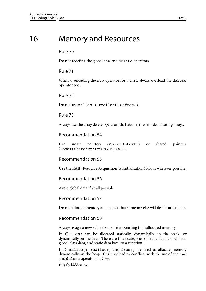## 16 Memory and Resources

#### Rule 70

Do not redefine the global new and delete operators.

#### Rule 71

When overloading the new operator for a class, always overload the delete operator too.

#### Rule 72

Do not use malloc(), realloc() or free().

#### Rule 73

Always use the array delete operator (delete []) when deallocating arrays.

#### Recommendation 54

Use smart pointers (Poco::AutoPtr) or shared pointers (Poco::SharedPtr) wherever possible.

#### Recommendation 55

Use the RAII (Resource Acquisition Is Initialization) idiom wherever possible.

#### Recommendation 56

Avoid global data if at all possible.

#### Recommendation 57

Do not allocate memory and expect that someone else will deallocate it later.

#### Recommendation 58

Always assign a new value to a pointer pointing to deallocated memory.

In C++ data can be allocated statically, dynamically on the stack, or dynamically on the heap. There are three categories of static data: global data, global class data, and static data local to a function.

In C malloc(), realloc() and free() are used to allocate memory dynamically on the heap. This may lead to conflicts with the use of the new and delete operators in C++.

It is forbidden to: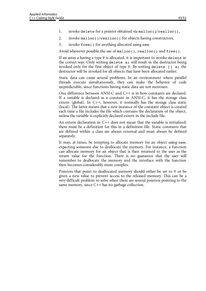- 1. invoke delete for a pointer obtained via malloc()/realloc(),
- 2. invoke malloc()/realloc() for objects having constructors,
- 3. invoke free() for anything allocated using new.

Avoid whenever possible the use of malloc(), realloc() and free().

If an array a having a type T is allocated, it is important to invoke delete in the correct way. Only writing delete a; will result in the destructor being invoked only for the first object of type  $T$ . By writing delete  $\lceil \cdot \rceil$  a; the destructor will be invoked for all objects that have been allocated earlier.

Static data can cause several problems. In an environment where parallel threads execute simultaneously, they can make the behavior of code unpredictable, since functions having static data are not reentrant.

One difference between ANSI-C and C++ is in how constants are declared. If a variable is declared as a constant in ANSI-C, it has the storage class extern (global). In C++, however, it normally has the storage class static (local). The latter means that a new instance of the constant object is created each time a file includes the file which contains the declaration of the object, unless the variable is explicitly declared extern in the include file.

An extern declaration in C++ does not mean that the variable is initialized; there must be a definition for this in a definition file. Static constants that are defined within a class are always external and must always be defined separately.

It may, at times, be tempting to allocate memory for an object using new, expecting someone else to deallocate the memory. For instance, a function can allocate memory for an object that is then returned to the user as the return value for the function. There is no guarantee that the user will remember to deallocate the memory and the interface with the function then becomes considerably more complex.

Pointers that point to deallocated memory should either be set to 0 or be given a new value to prevent access to the released memory. This can be a very difficult problem to solve when there are several pointers pointing to the same memory, since C++ has no garbage collection.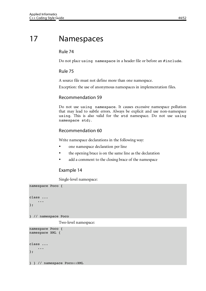## 17 Namespaces

#### Rule 74

Do not place using namespace in a header file or before an #include.

#### Rule 75

A source file must not define more than one namespace.

Exception: the use of anonymous namespaces in implementation files.

#### Recommendation 59

Do not use using namespace. It causes excessive namespace pollution that may lead to subtle errors. Always be explicit and use non-namespace using. This is also valid for the std namespace. Do not use using namespace std;.

#### Recommendation 60

Write namespace declarations in the following way:

- one namespace declaration per line
- the opening brace is on the same line as the declaration
- add a comment to the closing brace of the namespace

#### Example 14

Single-level namespace:

```
namespace Poco {
class ...
      ...
};
} // namespace Poco
               Two-level namespace:
namespace Poco {
namespace XML {
class ...
     ...
};
```
} } // namespace Poco::XML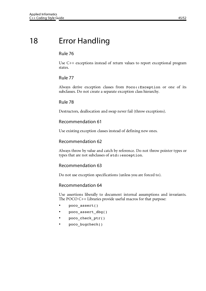## 18 Error Handling

#### Rule 76

Use C++ exceptions instead of return values to report exceptional program states.

#### Rule 77

Always derive exception classes from Poco::Exception or one of its subclasses. Do not create a separate exception class hierarchy.

#### Rule 78

Destructors, deallocation and swap never fail (throw exceptions).

#### Recommendation 61

Use existing exception classes instead of defining new ones.

#### Recommendation 62

Always throw by value and catch by reference. Do not throw pointer types or types that are not subclasses of std::exception.

#### Recommendation 63

Do not use exception specifications (unless you are forced to).

#### Recommendation 64

Use assertions liberally to document internal assumptions and invariants. The POCO C++ Libraries provide useful macros for that purpose:

- poco\_assert()
- poco assert dbg()
- poco\_check\_ptr()
- poco\_bugcheck()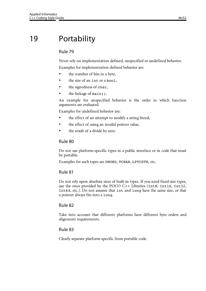## 19 Portability

#### Rule 79

Never rely on implementation defined, unspecified or undefined behavior. Examples for implementation defined behavior are:

- the number of bits in a byte,
- the size of an int or a bool,
- the signedness of char,
- the linkage of main().

An example for unspecified behavior is the order in which function arguments are evaluated.

Examples for undefined behavior are:

- the effect of an attempt to modify a string literal,
- the effect of using an invalid pointer value,
- the result of a divide by zero.

#### Rule 80

Do not use platform-specific types in a public interface or in code that must be portable.

Examples for such types are DWORD, TCHAR, LPTCSTR, etc.

#### Rule 81

Do not rely upon absolute sizes of built-in types. If you need fixed-size types, use the ones provided by the POCO C++ Libraries (Int8, Int16, Int32, Int64, etc.). Do not assume that int and long have the same size, or that a pointer always fits into a long.

#### Rule 82

Take into account that different platforms have different byte orders and alignment requirements.

#### Rule 83

Clearly separate platform-specific from portable code.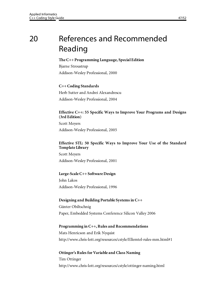## 20 References and Recommended Reading

#### **The C++ Programming Language, Special Edition**

Bjarne Stroustrup Addison-Wesley Professional, 2000

#### **C++ Coding Standards**

Herb Sutter and Andrei Alexandrescu Addison-Wesley Professional, 2004

#### **Effective C++: 55 Specific Ways to Improve Your Programs and Designs (3rd Edition)**

Scott Meyers Addison-Wesley Professional, 2005

#### **Effective STL: 50 Specific Ways to Improve Your Use of the Standard Template Library**

Scott Meyers Addison-Wesley Professional, 2001

#### **Large-Scale C++ Software Design**

John Lakos Addison-Wesley Professional, 1996

#### **Designing and Building Portable Systems in C++**

Günter Obiltschnig Paper, Embedded Systems Conference Silicon Valley 2006

### **Programming in C++, Rules and Recommendations**

Mats Henricson and Erik Nyquist http://www.chris-lott.org/resources/cstyle/Ellemtel-rules-mm.html#1

### **Ottinger's Rules for Variable and Class Naming** Tim Ottinger http://www.chris-lott.org/resources/cstyle/ottinger-naming.html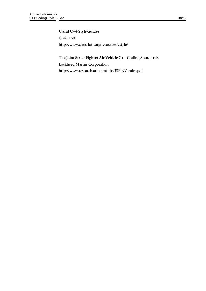#### **C and C++ Style Guides**

Chris Lott http://www.chris-lott.org/resources/cstyle/

#### **The Joint Strike Fighter Air Vehicle C++ Coding Standards**

Lockheed Martin Corporation http://www.research.att.com/~bs/JSF-AV-rules.pdf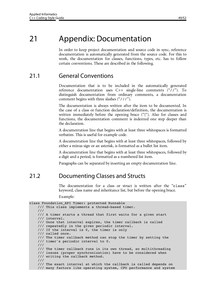## 21 Appendix: Documentation

In order to keep project documentation and source code in sync, reference documentation is automatically generated from the source code. For this to work, the documentation for classes, functions, types, etc. has to follow certain conventions. These are described in the following.

## 21.1 General Conventions

Documentation that is to be included in the automatically generated reference documentation uses C++ single-line comments ("//"). To distinguish documentation from ordinary comments, a documentation comment begins with three slashes ("///").

The documentation is always written after the item to be documented. In the case of a class or function declaration/definition, the documentation is written immediately before the opening brace ("{"). Also for classes and functions, the documentation comment is indented one step deeper than the declaration.

A documentation line that begins with at least three whitespaces is formatted verbatim. This is useful for example code.

A documentation line that begins with at least three whitespaces, followed by either a minus sign or an asterisk, is formatted as a bullet list item.

A documentation line that begins with at least three whitespaces, followed by a digit and a period, is formatted as a numbered list item.

Paragraphs can be separated by inserting an empty documentation line.

## 21.2 Documenting Classes and Structs

The documentation for a class or struct is written after the "class" keyword, class name and inheritance list, but before the opening brace.

Example:

```
class Foundation API Timer: protected Runnable
     /// This class implements a thread-based timer.
     ///
     /// A timer starts a thread that first waits for a given start 
     /// interval.
     /// Once that interval expires, the timer callback is called 
     /// repeatedly in the given periodic interval. 
     /// If the interval is 0, the timer is only
     /// called once.
     /// The timer callback method can stop the timer by setting the 
     /// timer's periodic interval to 0.
     ///
     /// The timer callback runs in its own thread, so multithreading
     /// issues (proper synchronization) have to be considered when
     /// writing the callback method.
     ///
     /// The exact interval at which the callback is called depends on 
     /// many factors like operating system, CPU performance and system
```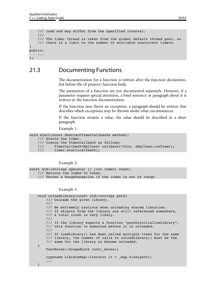```
 /// load and may differ from the specified interval.
     ///
     /// The timer thread is taken from the global default thread pool, so
     /// there is a limit to the number of available concurrent timers.
{
public:
     ...
};
```
### 21.3 Documenting Functions

The documentation for a function is written after the function declaration, but before the (if present) function body.

The parameters of a function are not documented separately. However, if a parameter requires special attention, a brief sentence or paragraph about it is written in the function documentation.

If the function may throw an exception, a paragraph should be written that describes which exceptions may be thrown under what circumstances.

If the function returns a value, the value should be described in a short paragraph.

Example 1:

```
void start(const AbstractTimerCallback& method);
     /// Starts the timer.
     /// Create the TimerCallback as follows:
     /// TimerCallback<MyClass> callback(*this, &MyClass::onTimer);
     /// timer.start(callback);
```
Example 2:

```
const std::string& operator [] (int index) const;
     /// Returns the index'th token.
     /// Throws a RangeException if the index is out of range.
```
Example 3:

```
 void unloadLibrary(const std::string& path)
         /// Unloads the given library.
         ///
         /// Be extremely cautious when unloading shared libraries.
         /// If objects from the library are still referenced somewhere,
         /// a total crash is very likely.
         ///
         /// If the library exports a function "pocoUninitializeLibrary",
         /// this function is executed before it is unloaded.
         ///
         /// If loadLibrary() has been called multiple times for the same
         /// library, the number of calls to unloadLibrary() must be the
         /// same for the library to become unloaded.
    {
        FastMutex::ScopedLock lock( mutex);
        typename LibraryMap::iterator it = map.find(path);
         ...
 }
```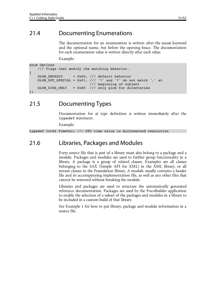## 21.4 Documenting Enumerations

The documentation for an enumeration is written after the enum keyword and the optional name, but before the opening brace. The documentation for each enumeration value is written directly after each value.

Example:

```
enum Options
     /// Flags that modify the matching behavior.
{
    GLOB DEFAULT = 0x00, // default behavior
    GLOB DOT SPECIAL = 0x01, /// '*' and '?' do not match '.' at
                              /// beginning of subject
   GLOB DIRS ONLY = 0x80 /// only glob for directories
};
```
## 21.5 Documenting Types

Documentation for at type definition is written immediately after the typedef statement.

Example:

typedef Int64 TimeVal; /// UTC time value in microsecond resolution

### 21.6 Libraries, Packages and Modules

Every source file that is part of a library must also belong to a package and a module. Packages and modules are used to further group functionality in a library. A package is a group of related classes. Examples are all classes belonging to the SAX (Simple API for XML) in the XML library, or all stream classes in the Foundation library. A module usually contains a header file and its accompanying implementation file, as well as any other files that cannot be removed without breaking the module.

Libraries and packages are used to structure the automatically generated reference documentation. Packages are used by the PocoBuilder application to enable the selection of a subset of the packages and modules in a library to be included in a custom build of that library.

See Example 1 for how to put library, package and module information in a source file.